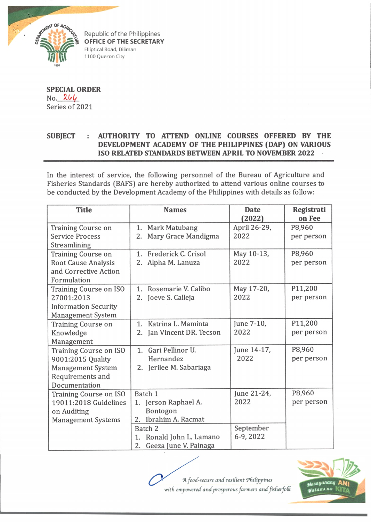

**OFFICE OF THE SECRETARY** Elliptical Road, Diliman 1100 Quezon City

**SPECIAL ORDER** No. 266 Series of 2021

## **SUBJECT : AUTHORITY TO ATTEND ONLINE COURSES OFFERED BY THE DEVELOPMENT ACADEMY OF THE PHILIPPINES (DAP) ON VARIOUS ISO RELATED STANDARDS BETWEEN APRIL TO NOVEMBER 2022**

In the interest of service, the following personnel of the Bureau of Agriculture and Fisheries Standards (BAFS) are hereby authorized to attend various online courses to be conducted by the Development Academy of the Philippines with details as follow:

| <b>Title</b>                                                                                                        | <b>Names</b>                                                                                                                                 | <b>Date</b><br>(2022)                         | Registrati<br>on Fee  |
|---------------------------------------------------------------------------------------------------------------------|----------------------------------------------------------------------------------------------------------------------------------------------|-----------------------------------------------|-----------------------|
| <b>Training Course on</b><br><b>Service Process</b><br>Streamlining                                                 | 1. Mark Matubang<br>Mary Grace Mandigma<br>2.                                                                                                | April 26-29,<br>2022                          | P8,960<br>per person  |
| <b>Training Course on</b><br><b>Root Cause Analysis</b><br>and Corrective Action<br>Formulation                     | Frederick C. Crisol<br>1.<br>2. Alpha M. Lanuza                                                                                              | May 10-13,<br>2022                            | P8,960<br>per person  |
| <b>Training Course on ISO</b><br>27001:2013<br><b>Information Security</b><br><b>Management System</b>              | Rosemarie V. Calibo<br>1.<br>2. Joeve S. Calleja                                                                                             | May 17-20,<br>2022                            | P11,200<br>per person |
| <b>Training Course on</b><br>Knowledge<br>Management                                                                | Katrina L. Maminta<br>$\mathbf{1}$ .<br>2. Jan Vincent DR. Tecson                                                                            | June 7-10,<br>2022                            | P11,200<br>per person |
| <b>Training Course on ISO</b><br>9001:2015 Quality<br><b>Management System</b><br>Requirements and<br>Documentation | Gari Pellinor U.<br>1.<br>Hernandez<br>2. Jerilee M. Sabariaga                                                                               | June 14-17,<br>2022                           | P8,960<br>per person  |
| <b>Training Course on ISO</b><br>19011:2018 Guidelines<br>on Auditing<br><b>Management Systems</b>                  | Batch 1<br>1. Jerson Raphael A.<br>Bontogon<br>2. Ibrahim A. Racmat<br>Batch 2<br>Ronald John L. Lamano<br>1.<br>Geeza June V. Painaga<br>2. | June 21-24,<br>2022<br>September<br>6-9, 2022 | P8,960<br>per person  |